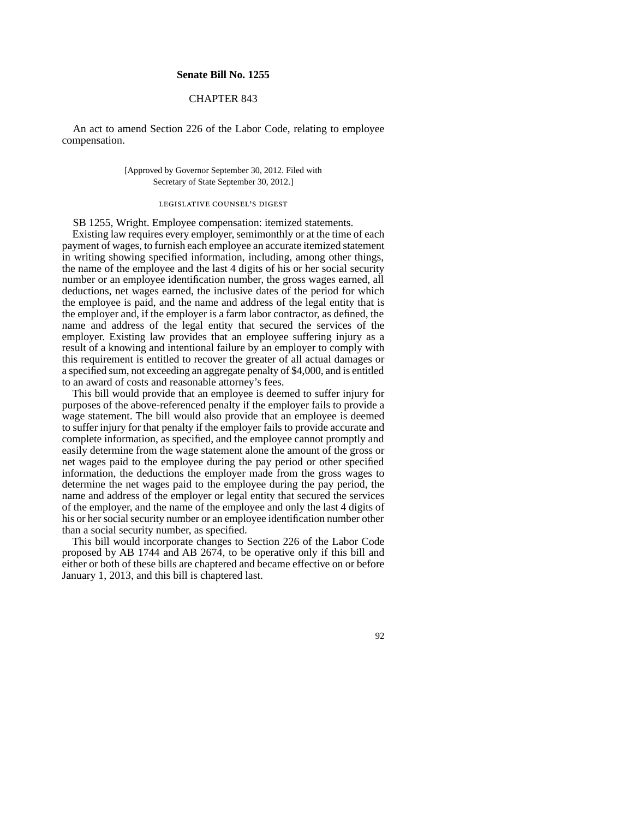#### **Senate Bill No. 1255**

## CHAPTER 843

An act to amend Section 226 of the Labor Code, relating to employee compensation.

#### [Approved by Governor September 30, 2012. Filed with Secretary of State September 30, 2012.]

# legislative counsel' s digest

SB 1255, Wright. Employee compensation: itemized statements.

Existing law requires every employer, semimonthly or at the time of each payment of wages, to furnish each employee an accurate itemized statement in writing showing specified information, including, among other things, the name of the employee and the last 4 digits of his or her social security number or an employee identification number, the gross wages earned, all deductions, net wages earned, the inclusive dates of the period for which the employee is paid, and the name and address of the legal entity that is the employer and, if the employer is a farm labor contractor, as defined, the name and address of the legal entity that secured the services of the employer. Existing law provides that an employee suffering injury as a result of a knowing and intentional failure by an employer to comply with this requirement is entitled to recover the greater of all actual damages or a specified sum, not exceeding an aggregate penalty of \$4,000, and is entitled to an award of costs and reasonable attorney's fees.

This bill would provide that an employee is deemed to suffer injury for purposes of the above-referenced penalty if the employer fails to provide a wage statement. The bill would also provide that an employee is deemed to suffer injury for that penalty if the employer fails to provide accurate and complete information, as specified, and the employee cannot promptly and easily determine from the wage statement alone the amount of the gross or net wages paid to the employee during the pay period or other specified information, the deductions the employer made from the gross wages to determine the net wages paid to the employee during the pay period, the name and address of the employer or legal entity that secured the services of the employer, and the name of the employee and only the last 4 digits of his or her social security number or an employee identification number other than a social security number, as specified.

This bill would incorporate changes to Section 226 of the Labor Code proposed by AB 1744 and AB 2674, to be operative only if this bill and either or both of these bills are chaptered and became effective on or before January 1, 2013, and this bill is chaptered last.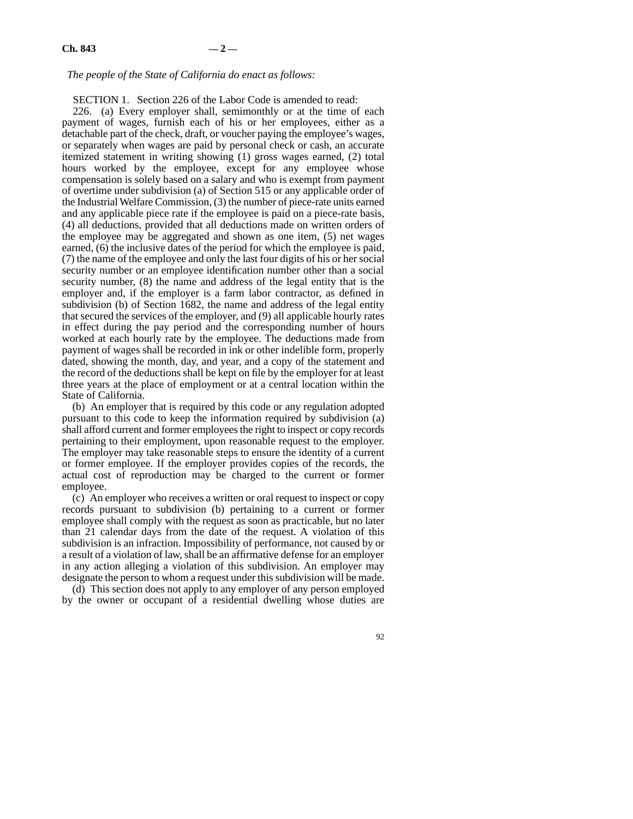### *The people of the State of California do enact as follows:*

SECTION 1. Section 226 of the Labor Code is amended to read:

226. (a) Every employer shall, semimonthly or at the time of each payment of wages, furnish each of his or her employees, either as a detachable part of the check, draft, or voucher paying the employee's wages, or separately when wages are paid by personal check or cash, an accurate itemized statement in writing showing (1) gross wages earned, (2) total hours worked by the employee, except for any employee whose compensation is solely based on a salary and who is exempt from payment of overtime under subdivision (a) of Section 515 or any applicable order of the Industrial Welfare Commission, (3) the number of piece-rate units earned and any applicable piece rate if the employee is paid on a piece-rate basis, (4) all deductions, provided that all deductions made on written orders of the employee may be aggregated and shown as one item, (5) net wages earned, (6) the inclusive dates of the period for which the employee is paid, (7) the name of the employee and only the last four digits of his or her social security number or an employee identification number other than a social security number, (8) the name and address of the legal entity that is the employer and, if the employer is a farm labor contractor, as defined in subdivision (b) of Section 1682, the name and address of the legal entity that secured the services of the employer, and (9) all applicable hourly rates in effect during the pay period and the corresponding number of hours worked at each hourly rate by the employee. The deductions made from payment of wages shall be recorded in ink or other indelible form, properly dated, showing the month, day, and year, and a copy of the statement and the record of the deductions shall be kept on file by the employer for at least three years at the place of employment or at a central location within the State of California.

(b) An employer that is required by this code or any regulation adopted pursuant to this code to keep the information required by subdivision (a) shall afford current and former employees the right to inspect or copy records pertaining to their employment, upon reasonable request to the employer. The employer may take reasonable steps to ensure the identity of a current or former employee. If the employer provides copies of the records, the actual cost of reproduction may be charged to the current or former employee.

(c) An employer who receives a written or oral request to inspect or copy records pursuant to subdivision (b) pertaining to a current or former employee shall comply with the request as soon as practicable, but no later than 21 calendar days from the date of the request. A violation of this subdivision is an infraction. Impossibility of performance, not caused by or a result of a violation of law, shall be an affirmative defense for an employer in any action alleging a violation of this subdivision. An employer may designate the person to whom a request under this subdivision will be made.

(d) This section does not apply to any employer of any person employed by the owner or occupant of a residential dwelling whose duties are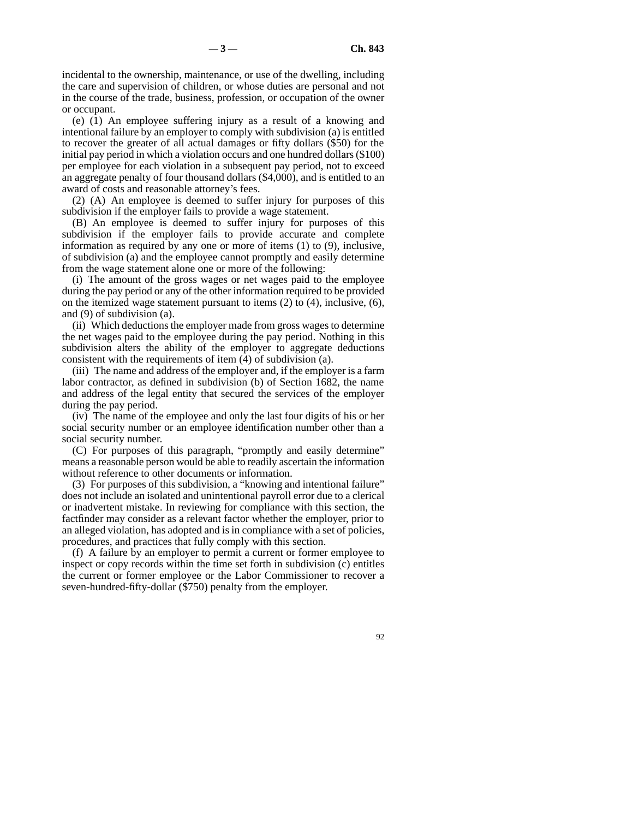incidental to the ownership, maintenance, or use of the dwelling, including the care and supervision of children, or whose duties are personal and not in the course of the trade, business, profession, or occupation of the owner or occupant.

(e) (1) An employee suffering injury as a result of a knowing and intentional failure by an employer to comply with subdivision (a) is entitled to recover the greater of all actual damages or fifty dollars (\$50) for the initial pay period in which a violation occurs and one hundred dollars (\$100) per employee for each violation in a subsequent pay period, not to exceed an aggregate penalty of four thousand dollars (\$4,000), and is entitled to an award of costs and reasonable attorney's fees.

(2) (A) An employee is deemed to suffer injury for purposes of this subdivision if the employer fails to provide a wage statement.

(B) An employee is deemed to suffer injury for purposes of this subdivision if the employer fails to provide accurate and complete information as required by any one or more of items (1) to (9), inclusive, of subdivision (a) and the employee cannot promptly and easily determine from the wage statement alone one or more of the following:

(i) The amount of the gross wages or net wages paid to the employee during the pay period or any of the other information required to be provided on the itemized wage statement pursuant to items (2) to (4), inclusive, (6), and (9) of subdivision (a).

(ii) Which deductions the employer made from gross wages to determine the net wages paid to the employee during the pay period. Nothing in this subdivision alters the ability of the employer to aggregate deductions consistent with the requirements of item (4) of subdivision (a).

(iii) The name and address of the employer and, if the employer is a farm labor contractor, as defined in subdivision (b) of Section 1682, the name and address of the legal entity that secured the services of the employer during the pay period.

(iv) The name of the employee and only the last four digits of his or her social security number or an employee identification number other than a social security number.

(C) For purposes of this paragraph, "promptly and easily determine" means a reasonable person would be able to readily ascertain the information without reference to other documents or information.

(3) For purposes of this subdivision, a "knowing and intentional failure" does not include an isolated and unintentional payroll error due to a clerical or inadvertent mistake. In reviewing for compliance with this section, the factfinder may consider as a relevant factor whether the employer, prior to an alleged violation, has adopted and is in compliance with a set of policies, procedures, and practices that fully comply with this section.

(f) A failure by an employer to permit a current or former employee to inspect or copy records within the time set forth in subdivision (c) entitles the current or former employee or the Labor Commissioner to recover a seven-hundred-fifty-dollar (\$750) penalty from the employer.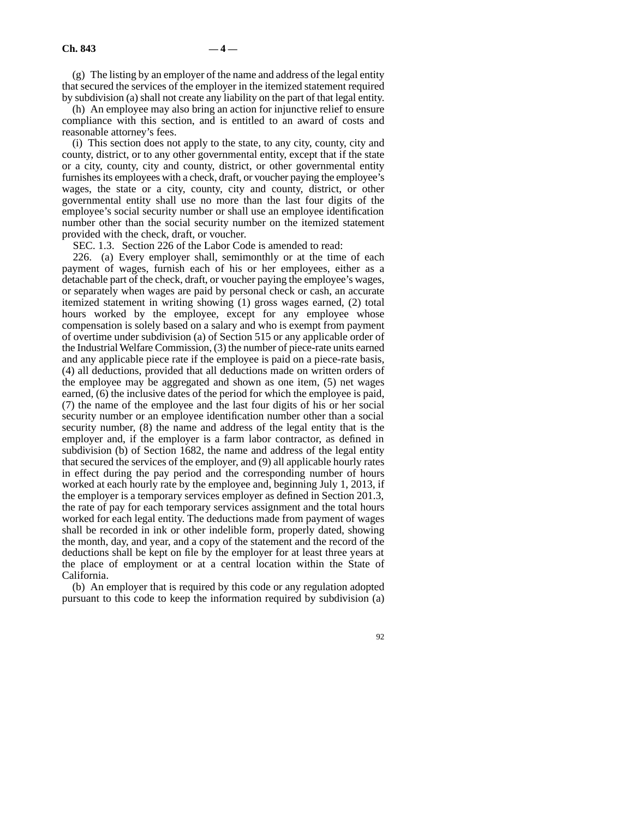(g) The listing by an employer of the name and address of the legal entity that secured the services of the employer in the itemized statement required by subdivision (a) shall not create any liability on the part of that legal entity.

(h) An employee may also bring an action for injunctive relief to ensure compliance with this section, and is entitled to an award of costs and reasonable attorney's fees.

(i) This section does not apply to the state, to any city, county, city and county, district, or to any other governmental entity, except that if the state or a city, county, city and county, district, or other governmental entity furnishes its employees with a check, draft, or voucher paying the employee's wages, the state or a city, county, city and county, district, or other governmental entity shall use no more than the last four digits of the employee's social security number or shall use an employee identification number other than the social security number on the itemized statement provided with the check, draft, or voucher.

SEC. 1.3. Section 226 of the Labor Code is amended to read:

226. (a) Every employer shall, semimonthly or at the time of each payment of wages, furnish each of his or her employees, either as a detachable part of the check, draft, or voucher paying the employee's wages, or separately when wages are paid by personal check or cash, an accurate itemized statement in writing showing (1) gross wages earned, (2) total hours worked by the employee, except for any employee whose compensation is solely based on a salary and who is exempt from payment of overtime under subdivision (a) of Section 515 or any applicable order of the Industrial Welfare Commission, (3) the number of piece-rate units earned and any applicable piece rate if the employee is paid on a piece-rate basis, (4) all deductions, provided that all deductions made on written orders of the employee may be aggregated and shown as one item, (5) net wages earned, (6) the inclusive dates of the period for which the employee is paid, (7) the name of the employee and the last four digits of his or her social security number or an employee identification number other than a social security number, (8) the name and address of the legal entity that is the employer and, if the employer is a farm labor contractor, as defined in subdivision (b) of Section 1682, the name and address of the legal entity that secured the services of the employer, and (9) all applicable hourly rates in effect during the pay period and the corresponding number of hours worked at each hourly rate by the employee and, beginning July 1, 2013, if the employer is a temporary services employer as defined in Section 201.3, the rate of pay for each temporary services assignment and the total hours worked for each legal entity. The deductions made from payment of wages shall be recorded in ink or other indelible form, properly dated, showing the month, day, and year, and a copy of the statement and the record of the deductions shall be kept on file by the employer for at least three years at the place of employment or at a central location within the State of California.

(b) An employer that is required by this code or any regulation adopted pursuant to this code to keep the information required by subdivision (a)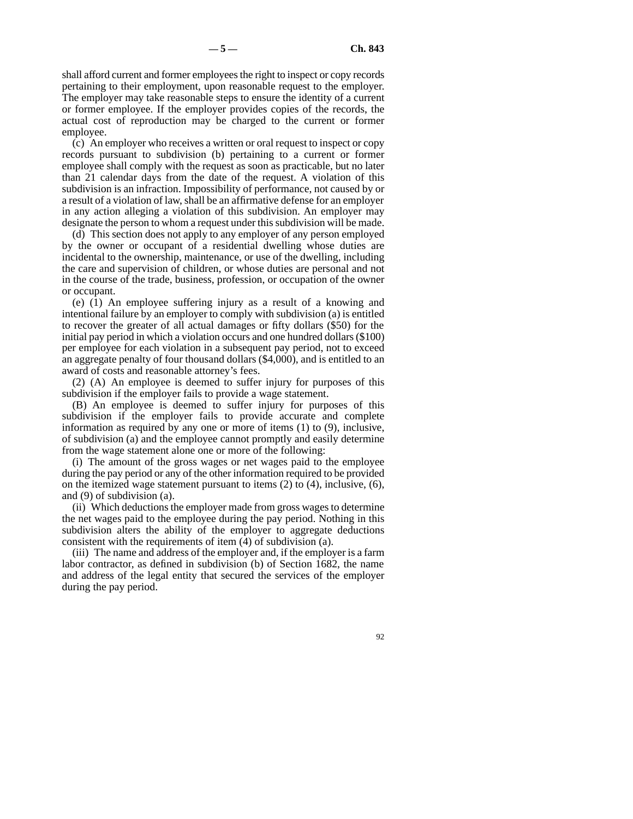shall afford current and former employees the right to inspect or copy records pertaining to their employment, upon reasonable request to the employer. The employer may take reasonable steps to ensure the identity of a current or former employee. If the employer provides copies of the records, the actual cost of reproduction may be charged to the current or former employee.

(c) An employer who receives a written or oral request to inspect or copy records pursuant to subdivision (b) pertaining to a current or former employee shall comply with the request as soon as practicable, but no later than 21 calendar days from the date of the request. A violation of this subdivision is an infraction. Impossibility of performance, not caused by or a result of a violation of law, shall be an affirmative defense for an employer in any action alleging a violation of this subdivision. An employer may designate the person to whom a request under this subdivision will be made.

(d) This section does not apply to any employer of any person employed by the owner or occupant of a residential dwelling whose duties are incidental to the ownership, maintenance, or use of the dwelling, including the care and supervision of children, or whose duties are personal and not in the course of the trade, business, profession, or occupation of the owner or occupant.

(e) (1) An employee suffering injury as a result of a knowing and intentional failure by an employer to comply with subdivision (a) is entitled to recover the greater of all actual damages or fifty dollars (\$50) for the initial pay period in which a violation occurs and one hundred dollars (\$100) per employee for each violation in a subsequent pay period, not to exceed an aggregate penalty of four thousand dollars (\$4,000), and is entitled to an award of costs and reasonable attorney's fees.

(2) (A) An employee is deemed to suffer injury for purposes of this subdivision if the employer fails to provide a wage statement.

(B) An employee is deemed to suffer injury for purposes of this subdivision if the employer fails to provide accurate and complete information as required by any one or more of items (1) to (9), inclusive, of subdivision (a) and the employee cannot promptly and easily determine from the wage statement alone one or more of the following:

(i) The amount of the gross wages or net wages paid to the employee during the pay period or any of the other information required to be provided on the itemized wage statement pursuant to items (2) to (4), inclusive, (6), and (9) of subdivision (a).

(ii) Which deductions the employer made from gross wages to determine the net wages paid to the employee during the pay period. Nothing in this subdivision alters the ability of the employer to aggregate deductions consistent with the requirements of item  $(4)$  of subdivision (a).

(iii) The name and address of the employer and, if the employer is a farm labor contractor, as defined in subdivision (b) of Section 1682, the name and address of the legal entity that secured the services of the employer during the pay period.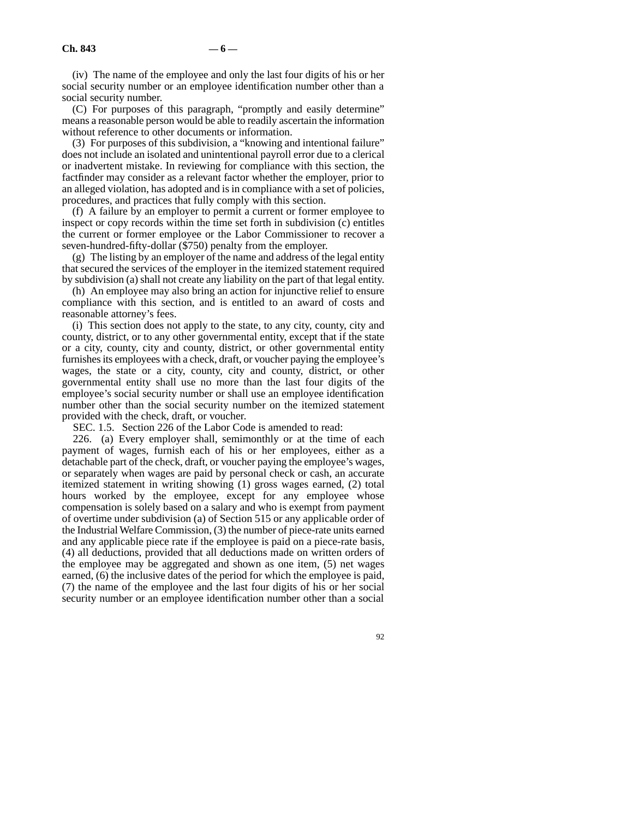(iv) The name of the employee and only the last four digits of his or her social security number or an employee identification number other than a social security number.

(C) For purposes of this paragraph, "promptly and easily determine" means a reasonable person would be able to readily ascertain the information without reference to other documents or information.

(3) For purposes of this subdivision, a "knowing and intentional failure" does not include an isolated and unintentional payroll error due to a clerical or inadvertent mistake. In reviewing for compliance with this section, the factfinder may consider as a relevant factor whether the employer, prior to an alleged violation, has adopted and is in compliance with a set of policies, procedures, and practices that fully comply with this section.

(f) A failure by an employer to permit a current or former employee to inspect or copy records within the time set forth in subdivision (c) entitles the current or former employee or the Labor Commissioner to recover a seven-hundred-fifty-dollar (\$750) penalty from the employer.

(g) The listing by an employer of the name and address of the legal entity that secured the services of the employer in the itemized statement required by subdivision (a) shall not create any liability on the part of that legal entity.

(h) An employee may also bring an action for injunctive relief to ensure compliance with this section, and is entitled to an award of costs and reasonable attorney's fees.

(i) This section does not apply to the state, to any city, county, city and county, district, or to any other governmental entity, except that if the state or a city, county, city and county, district, or other governmental entity furnishes its employees with a check, draft, or voucher paying the employee's wages, the state or a city, county, city and county, district, or other governmental entity shall use no more than the last four digits of the employee's social security number or shall use an employee identification number other than the social security number on the itemized statement provided with the check, draft, or voucher.

SEC. 1.5. Section 226 of the Labor Code is amended to read:

226. (a) Every employer shall, semimonthly or at the time of each payment of wages, furnish each of his or her employees, either as a detachable part of the check, draft, or voucher paying the employee's wages, or separately when wages are paid by personal check or cash, an accurate itemized statement in writing showing (1) gross wages earned, (2) total hours worked by the employee, except for any employee whose compensation is solely based on a salary and who is exempt from payment of overtime under subdivision (a) of Section 515 or any applicable order of the Industrial Welfare Commission, (3) the number of piece-rate units earned and any applicable piece rate if the employee is paid on a piece-rate basis, (4) all deductions, provided that all deductions made on written orders of the employee may be aggregated and shown as one item, (5) net wages earned, (6) the inclusive dates of the period for which the employee is paid, (7) the name of the employee and the last four digits of his or her social security number or an employee identification number other than a social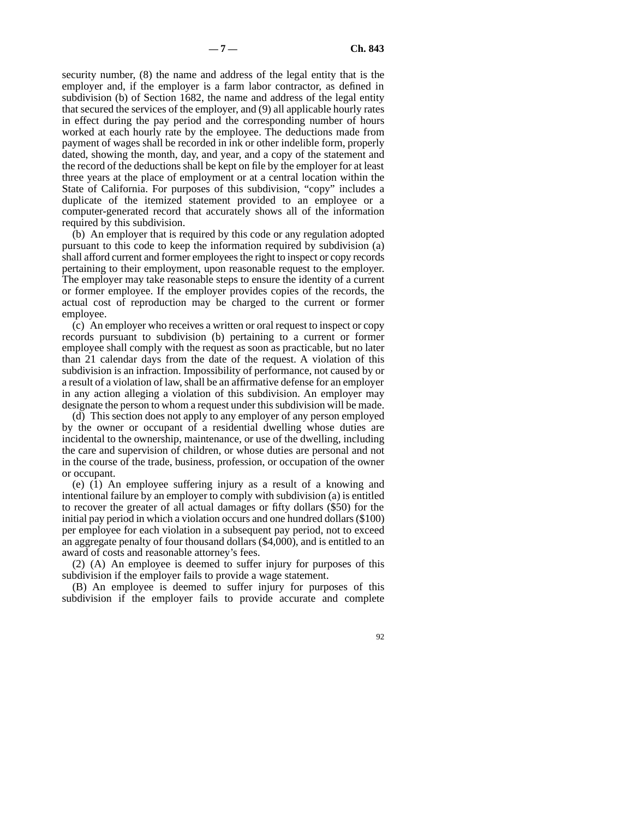security number, (8) the name and address of the legal entity that is the employer and, if the employer is a farm labor contractor, as defined in subdivision (b) of Section 1682, the name and address of the legal entity that secured the services of the employer, and (9) all applicable hourly rates in effect during the pay period and the corresponding number of hours worked at each hourly rate by the employee. The deductions made from payment of wages shall be recorded in ink or other indelible form, properly dated, showing the month, day, and year, and a copy of the statement and the record of the deductions shall be kept on file by the employer for at least three years at the place of employment or at a central location within the State of California. For purposes of this subdivision, "copy" includes a duplicate of the itemized statement provided to an employee or a computer-generated record that accurately shows all of the information required by this subdivision.

(b) An employer that is required by this code or any regulation adopted pursuant to this code to keep the information required by subdivision (a) shall afford current and former employees the right to inspect or copy records pertaining to their employment, upon reasonable request to the employer. The employer may take reasonable steps to ensure the identity of a current or former employee. If the employer provides copies of the records, the actual cost of reproduction may be charged to the current or former employee.

(c) An employer who receives a written or oral request to inspect or copy records pursuant to subdivision (b) pertaining to a current or former employee shall comply with the request as soon as practicable, but no later than 21 calendar days from the date of the request. A violation of this subdivision is an infraction. Impossibility of performance, not caused by or a result of a violation of law, shall be an affirmative defense for an employer in any action alleging a violation of this subdivision. An employer may designate the person to whom a request under this subdivision will be made.

(d) This section does not apply to any employer of any person employed by the owner or occupant of a residential dwelling whose duties are incidental to the ownership, maintenance, or use of the dwelling, including the care and supervision of children, or whose duties are personal and not in the course of the trade, business, profession, or occupation of the owner or occupant.

(e) (1) An employee suffering injury as a result of a knowing and intentional failure by an employer to comply with subdivision (a) is entitled to recover the greater of all actual damages or fifty dollars (\$50) for the initial pay period in which a violation occurs and one hundred dollars (\$100) per employee for each violation in a subsequent pay period, not to exceed an aggregate penalty of four thousand dollars (\$4,000), and is entitled to an award of costs and reasonable attorney's fees.

(2) (A) An employee is deemed to suffer injury for purposes of this subdivision if the employer fails to provide a wage statement.

(B) An employee is deemed to suffer injury for purposes of this subdivision if the employer fails to provide accurate and complete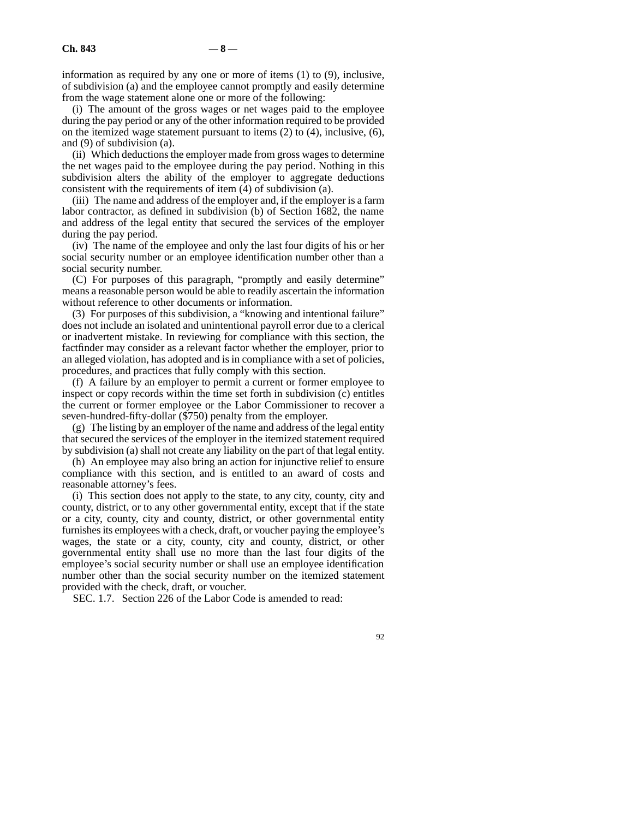information as required by any one or more of items (1) to (9), inclusive, of subdivision (a) and the employee cannot promptly and easily determine from the wage statement alone one or more of the following:

(i) The amount of the gross wages or net wages paid to the employee during the pay period or any of the other information required to be provided on the itemized wage statement pursuant to items (2) to (4), inclusive, (6), and (9) of subdivision (a).

(ii) Which deductions the employer made from gross wages to determine the net wages paid to the employee during the pay period. Nothing in this subdivision alters the ability of the employer to aggregate deductions consistent with the requirements of item (4) of subdivision (a).

(iii) The name and address of the employer and, if the employer is a farm labor contractor, as defined in subdivision (b) of Section 1682, the name and address of the legal entity that secured the services of the employer during the pay period.

(iv) The name of the employee and only the last four digits of his or her social security number or an employee identification number other than a social security number.

(C) For purposes of this paragraph, "promptly and easily determine" means a reasonable person would be able to readily ascertain the information without reference to other documents or information.

(3) For purposes of this subdivision, a "knowing and intentional failure" does not include an isolated and unintentional payroll error due to a clerical or inadvertent mistake. In reviewing for compliance with this section, the factfinder may consider as a relevant factor whether the employer, prior to an alleged violation, has adopted and is in compliance with a set of policies, procedures, and practices that fully comply with this section.

(f) A failure by an employer to permit a current or former employee to inspect or copy records within the time set forth in subdivision (c) entitles the current or former employee or the Labor Commissioner to recover a seven-hundred-fifty-dollar (\$750) penalty from the employer.

(g) The listing by an employer of the name and address of the legal entity that secured the services of the employer in the itemized statement required by subdivision (a) shall not create any liability on the part of that legal entity.

(h) An employee may also bring an action for injunctive relief to ensure compliance with this section, and is entitled to an award of costs and reasonable attorney's fees.

(i) This section does not apply to the state, to any city, county, city and county, district, or to any other governmental entity, except that if the state or a city, county, city and county, district, or other governmental entity furnishes its employees with a check, draft, or voucher paying the employee's wages, the state or a city, county, city and county, district, or other governmental entity shall use no more than the last four digits of the employee's social security number or shall use an employee identification number other than the social security number on the itemized statement provided with the check, draft, or voucher.

SEC. 1.7. Section 226 of the Labor Code is amended to read: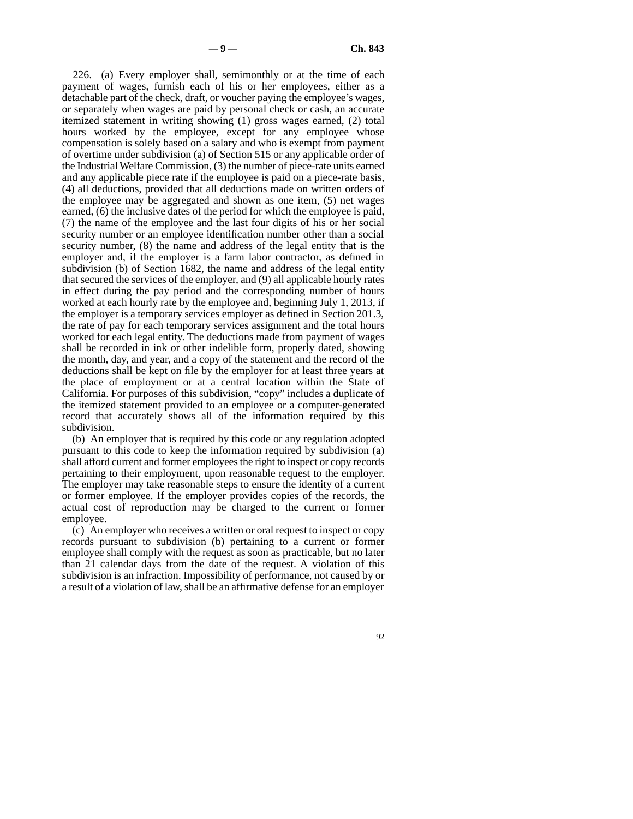226. (a) Every employer shall, semimonthly or at the time of each payment of wages, furnish each of his or her employees, either as a detachable part of the check, draft, or voucher paying the employee's wages, or separately when wages are paid by personal check or cash, an accurate itemized statement in writing showing (1) gross wages earned, (2) total hours worked by the employee, except for any employee whose compensation is solely based on a salary and who is exempt from payment of overtime under subdivision (a) of Section 515 or any applicable order of the Industrial Welfare Commission, (3) the number of piece-rate units earned and any applicable piece rate if the employee is paid on a piece-rate basis, (4) all deductions, provided that all deductions made on written orders of the employee may be aggregated and shown as one item, (5) net wages earned, (6) the inclusive dates of the period for which the employee is paid, (7) the name of the employee and the last four digits of his or her social security number or an employee identification number other than a social security number, (8) the name and address of the legal entity that is the employer and, if the employer is a farm labor contractor, as defined in subdivision (b) of Section 1682, the name and address of the legal entity that secured the services of the employer, and (9) all applicable hourly rates in effect during the pay period and the corresponding number of hours worked at each hourly rate by the employee and, beginning July 1, 2013, if the employer is a temporary services employer as defined in Section 201.3, the rate of pay for each temporary services assignment and the total hours worked for each legal entity. The deductions made from payment of wages shall be recorded in ink or other indelible form, properly dated, showing the month, day, and year, and a copy of the statement and the record of the deductions shall be kept on file by the employer for at least three years at the place of employment or at a central location within the State of California. For purposes of this subdivision, "copy" includes a duplicate of the itemized statement provided to an employee or a computer-generated record that accurately shows all of the information required by this subdivision.

(b) An employer that is required by this code or any regulation adopted pursuant to this code to keep the information required by subdivision (a) shall afford current and former employees the right to inspect or copy records pertaining to their employment, upon reasonable request to the employer. The employer may take reasonable steps to ensure the identity of a current or former employee. If the employer provides copies of the records, the actual cost of reproduction may be charged to the current or former employee.

(c) An employer who receives a written or oral request to inspect or copy records pursuant to subdivision (b) pertaining to a current or former employee shall comply with the request as soon as practicable, but no later than 21 calendar days from the date of the request. A violation of this subdivision is an infraction. Impossibility of performance, not caused by or a result of a violation of law, shall be an affirmative defense for an employer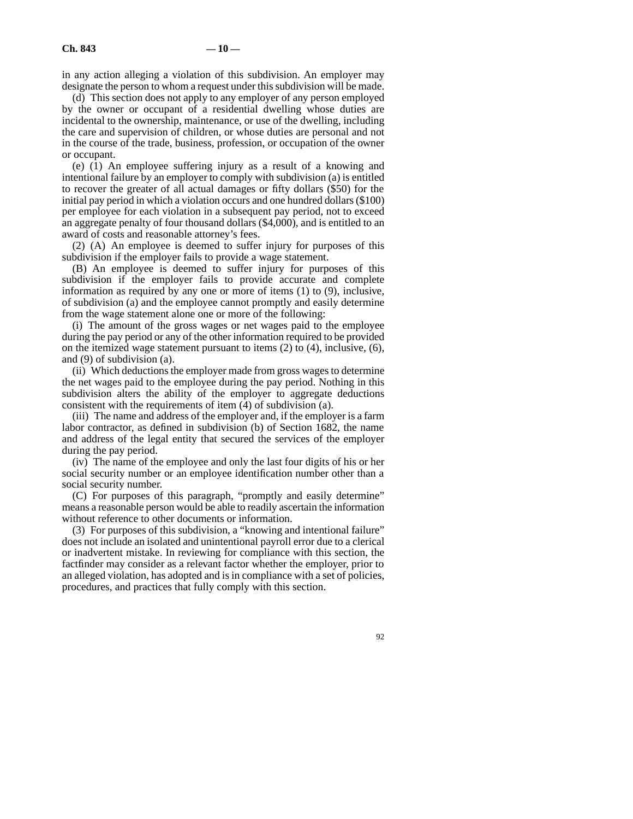in any action alleging a violation of this subdivision. An employer may designate the person to whom a request under this subdivision will be made.

(d) This section does not apply to any employer of any person employed by the owner or occupant of a residential dwelling whose duties are incidental to the ownership, maintenance, or use of the dwelling, including the care and supervision of children, or whose duties are personal and not in the course of the trade, business, profession, or occupation of the owner or occupant.

(e) (1) An employee suffering injury as a result of a knowing and intentional failure by an employer to comply with subdivision (a) is entitled to recover the greater of all actual damages or fifty dollars (\$50) for the initial pay period in which a violation occurs and one hundred dollars (\$100) per employee for each violation in a subsequent pay period, not to exceed an aggregate penalty of four thousand dollars (\$4,000), and is entitled to an award of costs and reasonable attorney's fees.

(2) (A) An employee is deemed to suffer injury for purposes of this subdivision if the employer fails to provide a wage statement.

(B) An employee is deemed to suffer injury for purposes of this subdivision if the employer fails to provide accurate and complete information as required by any one or more of items (1) to (9), inclusive, of subdivision (a) and the employee cannot promptly and easily determine from the wage statement alone one or more of the following:

(i) The amount of the gross wages or net wages paid to the employee during the pay period or any of the other information required to be provided on the itemized wage statement pursuant to items  $(2)$  to  $(4)$ , inclusive,  $(6)$ , and (9) of subdivision (a).

(ii) Which deductions the employer made from gross wages to determine the net wages paid to the employee during the pay period. Nothing in this subdivision alters the ability of the employer to aggregate deductions consistent with the requirements of item (4) of subdivision (a).

(iii) The name and address of the employer and, if the employer is a farm labor contractor, as defined in subdivision (b) of Section 1682, the name and address of the legal entity that secured the services of the employer during the pay period.

(iv) The name of the employee and only the last four digits of his or her social security number or an employee identification number other than a social security number.

(C) For purposes of this paragraph, "promptly and easily determine" means a reasonable person would be able to readily ascertain the information without reference to other documents or information.

(3) For purposes of this subdivision, a "knowing and intentional failure" does not include an isolated and unintentional payroll error due to a clerical or inadvertent mistake. In reviewing for compliance with this section, the factfinder may consider as a relevant factor whether the employer, prior to an alleged violation, has adopted and is in compliance with a set of policies, procedures, and practices that fully comply with this section.